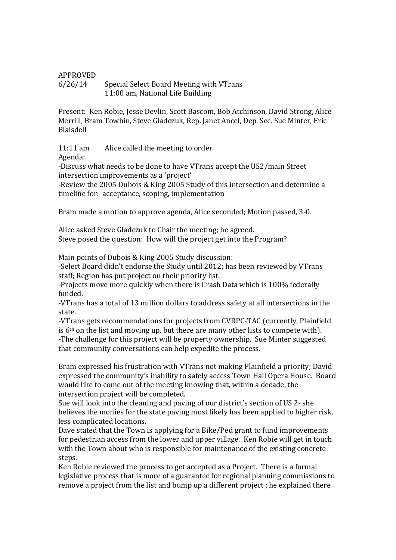## APPROVED 6/26/14 Special Select Board Meeting with VTrans 11:00 am, National Life Building

Present: Ken Robie, Jesse Devlin, Scott Bascom, Bob Atchinson, David Strong, Alice Merrill, Bram Towbin, Steve Gladczuk, Rep. Janet Ancel, Dep. Sec. Sue Minter, Eric Blaisdell

11:11 am Alice called the meeting to order.

Agenda:

-Discuss what needs to be done to have VTrans accept the US2/main Street intersection improvements as a 'project'

-Review the 2005 Dubois & King 2005 Study of this intersection and determine a timeline for: acceptance, scoping, implementation

Bram made a motion to approve agenda, Alice seconded; Motion passed, 3-0.

Alice asked Steve Gladczuk to Chair the meeting; he agreed. Steve posed the question: How will the project get into the Program?

Main points of Dubois & King 2005 Study discussion:

-Select Board didn't endorse the Study until 2012; has been reviewed by VTrans staff; Region has put project on their priority list.

-Projects move more quickly when there is Crash Data which is 100% federally funded.

-VTrans has a total of 13 million dollars to address safety at all intersections in the state.

-VTrans gets recommendations for projects from CVRPC-TAC (currently, Plainfield is  $6<sup>th</sup>$  on the list and moving up, but there are many other lists to compete with). -The challenge for this project will be property ownership. Sue Minter suggested that community conversations can help expedite the process.

Bram expressed his frustration with VTrans not making Plainfield a priority; David expressed the community's inability to safely access Town Hall Opera House. Board would like to come out of the meeting knowing that, within a decade, the intersection project will be completed.

Sue will look into the cleaning and paving of our district's section of US 2- she believes the monies for the state paving most likely has been applied to higher risk, less complicated locations.

Dave stated that the Town is applying for a Bike/Ped grant to fund improvements for pedestrian access from the lower and upper village. Ken Robie will get in touch with the Town about who is responsible for maintenance of the existing concrete steps.

Ken Robie reviewed the process to get accepted as a Project. There is a formal legislative process that is more of a guarantee for regional planning commissions to remove a project from the list and bump up a different project ; he explained there